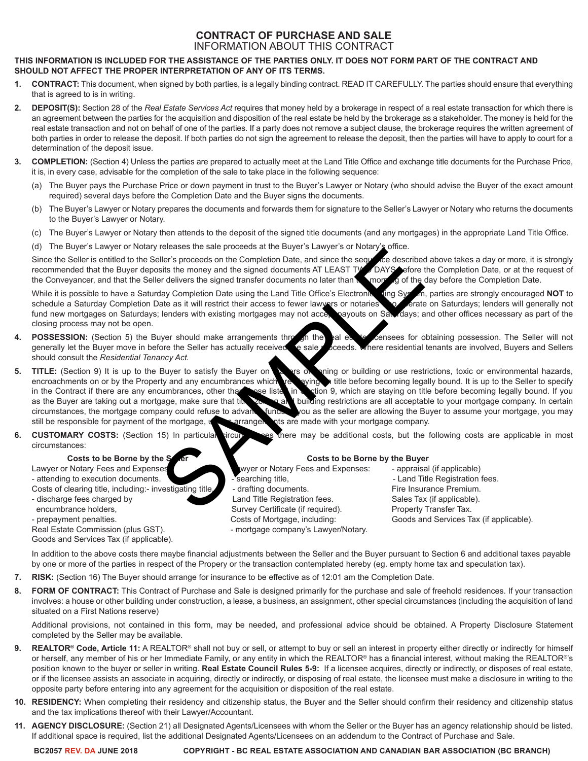# **CONTRACT OF PURCHASE AND SALE** INFORMATION ABOUT THIS CONTRACT

# **THIS INFORMATION IS INCLUDED FOR THE ASSISTANCE OF THE PARTIES ONLY. IT DOES NOT FORM PART OF THE CONTRACT AND SHOULD NOT AFFECT THE PROPER INTERPRETATION OF ANY OF ITS TERMS.**

- **1. CONTRACT:** This document, when signed by both parties, is a legally binding contract. READ IT CAREFULLY. The parties should ensure that everything that is agreed to is in writing.
- **2. DEPOSIT(S):** Section 28 of the *Real Estate Services Act* requires that money held by a brokerage in respect of a real estate transaction for which there is an agreement between the parties for the acquisition and disposition of the real estate be held by the brokerage as a stakeholder. The money is held for the real estate transaction and not on behalf of one of the parties. If a party does not remove a subject clause, the brokerage requires the written agreement of both parties in order to release the deposit. If both parties do not sign the agreement to release the deposit, then the parties will have to apply to court for a determination of the deposit issue.
- **3. COMPLETION:** (Section 4) Unless the parties are prepared to actually meet at the Land Title Office and exchange title documents for the Purchase Price, it is, in every case, advisable for the completion of the sale to take place in the following sequence:
	- (a) The Buyer pays the Purchase Price or down payment in trust to the Buyer's Lawyer or Notary (who should advise the Buyer of the exact amount required) several days before the Completion Date and the Buyer signs the documents.
	- (b) The Buyer's Lawyer or Notary prepares the documents and forwards them for signature to the Seller's Lawyer or Notary who returns the documents to the Buyer's Lawyer or Notary.
	- (c) The Buyer's Lawyer or Notary then attends to the deposit of the signed title documents (and any mortgages) in the appropriate Land Title Office.
	- (d) The Buyer's Lawyer or Notary releases the sale proceeds at the Buyer's Lawyer's or Notary's office.

Since the Seller is entitled to the Seller's proceeds on the Completion Date, and since the sequence described above takes a day or more, it is strongly recommended that the Buyer deposits the money and the signed documents AT LEAST TWO DAYS before the Completion Date, or at the request of the Conveyancer, and that the Seller delivers the signed transfer documents no later than the morning of the day before the Completion Date.

While it is possible to have a Saturday Completion Date using the Land Title Office's Electronic Jung System, parties are strongly encouraged NOT to schedule a Saturday Completion Date as it will restrict their access to fewer lawyers or notaries of erate on Saturdays; lenders will generally not fund new mortgages on Saturdays; lenders will generally not fund new mortg fund new mortgages on Saturdays; lenders with existing mortgages may not acce closing process may not be open.

- **POSSESSION:** (Section 5) the Buyer should make arrangements through the real estate densees for obtaining possession. The Seller will not generally let the Buyer move in before the Seller has actually received e sale poce generally let the Buyer move in before the Seller has actually received the sale proceeds. should consult the *Residential Tenancy Act.*
- **5. TITLE:** (Section 9) It is up to the Buyer to satisfy the Buyer on a matter of pring or building or use restrictions, toxic or environmental hazards, encroachments on or by the Property and any encumbrances which the which really and any intitle before becoming legally bound. It is up to the Seller to specify is used in a settion 9, which are staying on title before becoming legally bound. If you in the Contract if there are any encumbrances, other than the section is staying on the staying on title before becoming legally bound. If you as the Buyer are taking out a mortgage, make sure that time zoning and building restrictions are all acceptable to your mortgage company. In certain circumstances, the mortgage company could refuse to advance funds. You as the seller are allowing the Buyer to assume your mortgage, you may still be responsible for payment of the mortgage, unless arrangements are made with your mortgage company. Free Some of the Condition Date and Simon Samples and Simon Samples (III and Thi<br>
Sample to the Condition Date and Simon Sample of the seculies<br>
State more and the signed documents AT LEAST TV DAYS sefore trelivers the sig
- **6. CUSTOMARY COSTS:** (Section 15) In particular circumstances there may be additional costs, but the following costs are applicable in most circumstances:

Lawyer or Notary Fees and Expenses **Lawyer or Notary Fees and Expenses:** - appraisal (if applicable)

- 
- 
- 
- 

Goods and Services Tax (if applicable).

# **Costs to be Borne by the Selection Costs to be Borne by the Buyer**

- attending to execution documents. - searching title, - searching title, - Land Title Registration fees. Costs of clearing title, including:- investigating title,  $\blacksquare$  - drafting documents. Fire Insurance Premium. - discharge fees charged by **Land Title Registration fees.** Sales Tax (if applicable). encumbrance holders, Survey Certificate (if required). Property Transfer Tax. - prepayment penalties. Costs of Mortgage, including: Goods and Services Tax (if applicable). Real Estate Commission (plus GST). The mortgage company's Lawyer/Notary.

In addition to the above costs there maybe financial adjustments between the Seller and the Buyer pursuant to Section 6 and additional taxes payable by one or more of the parties in respect of the Propery or the transaction contemplated hereby (eg. empty home tax and speculation tax).

- **7. RISK:** (Section 16) The Buyer should arrange for insurance to be effective as of 12:01 am the Completion Date.
- **8. FORM OF CONTRACT:** This Contract of Purchase and Sale is designed primarily for the purchase and sale of freehold residences. If your transaction involves: a house or other building under construction, a lease, a business, an assignment, other special circumstances (including the acquisition of land situated on a First Nations reserve)

Additional provisions, not contained in this form, may be needed, and professional advice should be obtained. A Property Disclosure Statement completed by the Seller may be available.

- 9. REALTOR<sup>®</sup> Code, Article 11: A REALTOR<sup>®</sup> shall not buy or sell, or attempt to buy or sell an interest in property either directly or indirectly for himself or herself, any member of his or her Immediate Family, or any entity in which the REALTOR® has a financial interest, without making the REALTOR®'s position known to the buyer or seller in writing. **Real Estate Council Rules 5-9:** If a licensee acquires, directly or indirectly, or disposes of real estate, or if the licensee assists an associate in acquiring, directly or indirectly, or disposing of real estate, the licensee must make a disclosure in writing to the opposite party before entering into any agreement for the acquisition or disposition of the real estate.
- **10. RESIDENCY:** When completing their residency and citizenship status, the Buyer and the Seller should confirm their residency and citizenship status and the tax implications thereof with their Lawyer/Accountant.
- **11. AGENCY DISCLOSURE:** (Section 21) all Designated Agents/Licensees with whom the Seller or the Buyer has an agency relationship should be listed. If additional space is required, list the additional Designated Agents/Licensees on an addendum to the Contract of Purchase and Sale.

**BC2057 REV. DA JUNE 2018 COPYRIGHT - BC REAL ESTATE ASSOCIATION AND CANADIAN BAR ASSOCIATION (BC BRANCH)**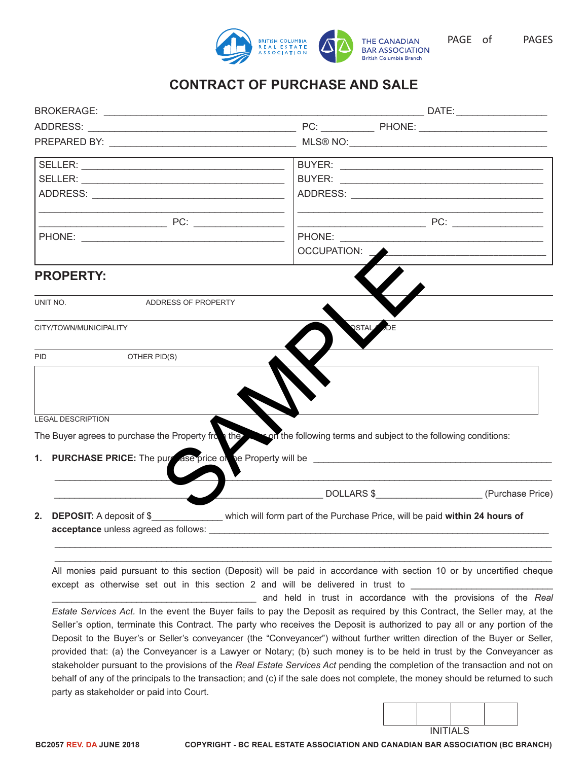

PAGE of PAGES

# **CONTRACT OF PURCHASE AND SALE**

|            |                                          | OCCUPATION:                                                                                                                                                                                                                                                                                                                                                                                                                                                                                                                                                                                                                                                                                                                                                                                                                                                                                                                                                                                                                                                         | the control of the control of the control of the control of the control of the control of |  |  |
|------------|------------------------------------------|---------------------------------------------------------------------------------------------------------------------------------------------------------------------------------------------------------------------------------------------------------------------------------------------------------------------------------------------------------------------------------------------------------------------------------------------------------------------------------------------------------------------------------------------------------------------------------------------------------------------------------------------------------------------------------------------------------------------------------------------------------------------------------------------------------------------------------------------------------------------------------------------------------------------------------------------------------------------------------------------------------------------------------------------------------------------|-------------------------------------------------------------------------------------------|--|--|
|            | <b>PROPERTY:</b>                         |                                                                                                                                                                                                                                                                                                                                                                                                                                                                                                                                                                                                                                                                                                                                                                                                                                                                                                                                                                                                                                                                     |                                                                                           |  |  |
| UNIT NO.   | ADDRESS OF PROPERTY                      |                                                                                                                                                                                                                                                                                                                                                                                                                                                                                                                                                                                                                                                                                                                                                                                                                                                                                                                                                                                                                                                                     |                                                                                           |  |  |
|            | CITY/TOWN/MUNICIPALITY                   | <b>OSTAL</b>                                                                                                                                                                                                                                                                                                                                                                                                                                                                                                                                                                                                                                                                                                                                                                                                                                                                                                                                                                                                                                                        |                                                                                           |  |  |
| <b>PID</b> | OTHER PID(S)                             |                                                                                                                                                                                                                                                                                                                                                                                                                                                                                                                                                                                                                                                                                                                                                                                                                                                                                                                                                                                                                                                                     |                                                                                           |  |  |
|            | <b>LEGAL DESCRIPTION</b>                 | The Buyer agrees to purchase the Property from the second the following terms and subject to the following conditions:                                                                                                                                                                                                                                                                                                                                                                                                                                                                                                                                                                                                                                                                                                                                                                                                                                                                                                                                              | the control of the control of the control of the control of the control of                |  |  |
|            |                                          |                                                                                                                                                                                                                                                                                                                                                                                                                                                                                                                                                                                                                                                                                                                                                                                                                                                                                                                                                                                                                                                                     |                                                                                           |  |  |
|            | acceptance unless agreed as follows:     | 2. DEPOSIT: A deposit of \$________________ which will form part of the Purchase Price, will be paid within 24 hours of                                                                                                                                                                                                                                                                                                                                                                                                                                                                                                                                                                                                                                                                                                                                                                                                                                                                                                                                             |                                                                                           |  |  |
|            | party as stakeholder or paid into Court. | All monies paid pursuant to this section (Deposit) will be paid in accordance with section 10 or by uncertified cheque<br>except as otherwise set out in this section 2 and will be delivered in trust to<br>and held in trust in accordance with the provisions of the Real<br>Estate Services Act. In the event the Buyer fails to pay the Deposit as required by this Contract, the Seller may, at the<br>Seller's option, terminate this Contract. The party who receives the Deposit is authorized to pay all or any portion of the<br>Deposit to the Buyer's or Seller's conveyancer (the "Conveyancer") without further written direction of the Buyer or Seller,<br>provided that: (a) the Conveyancer is a Lawyer or Notary; (b) such money is to be held in trust by the Conveyancer as<br>stakeholder pursuant to the provisions of the Real Estate Services Act pending the completion of the transaction and not on<br>behalf of any of the principals to the transaction; and (c) if the sale does not complete, the money should be returned to such |                                                                                           |  |  |
|            |                                          |                                                                                                                                                                                                                                                                                                                                                                                                                                                                                                                                                                                                                                                                                                                                                                                                                                                                                                                                                                                                                                                                     |                                                                                           |  |  |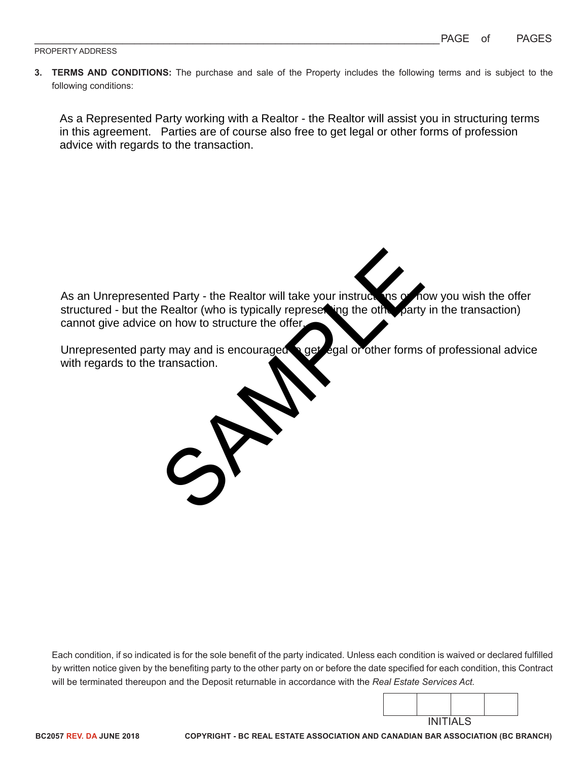**3. TERMS AND CONDITIONS:** The purchase and sale of the Property includes the following terms and is subject to the following conditions:

As a Represented Party working with a Realtor - the Realtor will assist you in structuring terms in this agreement. Parties are of course also free to get legal or other forms of profession advice with regards to the transaction.

ed Party - the Realtor will take your instructions of<br>Realtor (who is typically represeding the other party<br>on how to structure the offer.<br>transaction.<br>Transaction. As an Unrepresented Party - the Realtor will take your instructions of how you wish the offer structured - but the Realtor (who is typically represetting the other party in the transaction) cannot give advice on how to structure the offer.

Unrepresented party may and is encouraged a get egal or other forms of professional advice with regards to the transaction.

Each condition, if so indicated is for the sole benefit of the party indicated. Unless each condition is waived or declared fulfilled by written notice given by the benefiting party to the other party on or before the date specified for each condition, this Contract will be terminated thereupon and the Deposit returnable in accordance with the *Real Estate Services Act.*

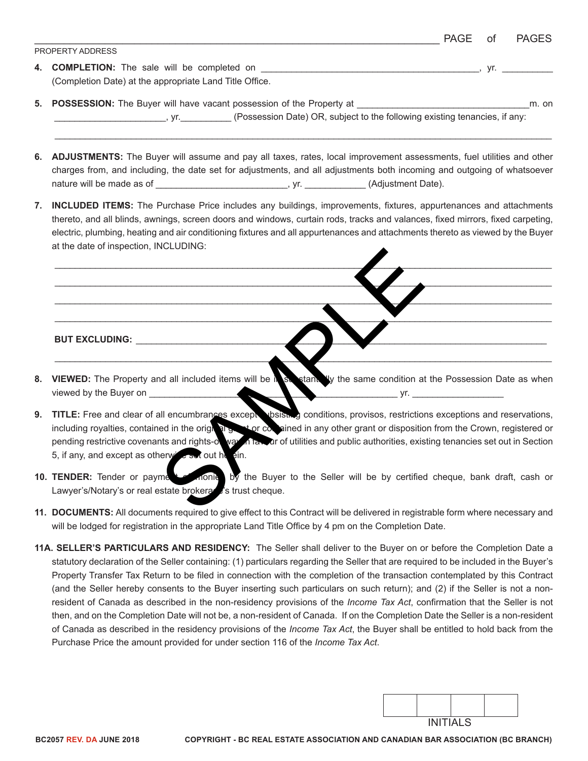|                                                         | PAGE | of | <b>PAGES</b> |
|---------------------------------------------------------|------|----|--------------|
| <b>PROPERTY ADDRESS</b>                                 |      |    |              |
| 4. COMPLETION: The sale will be completed on            |      |    |              |
| (Completion Date) at the appropriate Land Title Office. |      |    |              |

**5. POSSESSION:** The Buyer will have vacant possession of the Property at \_\_\_\_\_\_\_\_\_\_\_\_\_\_\_\_\_\_\_\_\_\_\_\_\_\_\_\_\_\_\_\_\_\_m. on yr. V. (Possession Date) OR, subject to the following existing tenancies, if any:

 $\_$  , and the set of the set of the set of the set of the set of the set of the set of the set of the set of the set of the set of the set of the set of the set of the set of the set of the set of the set of the set of th

- **6. ADJUSTMENTS:** The Buyer will assume and pay all taxes, rates, local improvement assessments, fuel utilities and other charges from, and including, the date set for adjustments, and all adjustments both incoming and outgoing of whatsoever nature will be made as of \_\_\_\_\_\_\_\_\_\_\_\_\_\_\_\_\_\_\_\_\_\_\_\_\_\_\_\_\_\_\_, yr. \_\_\_\_\_\_\_\_\_\_\_\_(Adjustment Date).
- **7. INCLUDED ITEMS:** The Purchase Price includes any buildings, improvements, fixtures, appurtenances and attachments thereto, and all blinds, awnings, screen doors and windows, curtain rods, tracks and valances, fixed mirrors, fixed carpeting, electric, plumbing, heating and air conditioning fixtures and all appurtenances and attachments thereto as viewed by the Buyer at the date of inspection, INCLUDING:

 $\frac{1}{2}$  , and the set of the set of the set of the set of the set of the set of the set of the set of the set of the set of the set of the set of the set of the set of the set of the set of the set of the set of the set  $\_\_\_\_\_\_\_\_\_\_$  $\Box$  is the contract of the contract of the contract of the contract of the contract of the contract of the contract of the contract of the contract of the contract of the contract of the contract of the contract of the c  $\blacksquare$ 

**BUT EXCLUDING:**  $\blacksquare$ 

**8. VIEWED:** The Property and all included items will be in substantially the same condition at the Possession Date as when viewed by the Buyer on \_\_\_\_\_\_\_\_\_\_\_\_\_\_\_\_\_\_\_\_\_\_\_\_\_\_\_\_\_\_\_\_\_\_\_\_\_\_\_\_\_\_\_\_\_\_\_\_\_ yr. \_\_\_\_\_\_\_\_\_\_\_\_\_\_\_\_\_\_

 $\blacktriangle$  , and the contribution of the contribution of  $\blacktriangle$  ,  $\blacktriangle$  ,  $\blacktriangle$  ,  $\blacktriangle$  ,  $\blacktriangle$  ,  $\blacktriangle$  ,  $\blacktriangle$  ,  $\blacktriangle$  ,  $\blacktriangle$  ,  $\blacktriangle$  ,  $\blacktriangle$  ,  $\blacktriangle$  ,  $\blacktriangle$  ,  $\blacktriangle$  ,  $\blacktriangle$  ,  $\blacktriangle$  ,  $\blacktriangle$  ,  $\blacktriangle$  ,  $\blacktriangle$  ,  $\blacktriangle$  ,  $\blacktriangle$  ,

- **9. TITLE:** Free and clear of all encumbrances except subsisting conditions, provisos, restrictions exceptions and reservations, including royalties, contained in the original grant or comained in any other grant or disposition from the Crown, registered or pending restrictive covenants and rights-of-way in faxs are of utilities and public authorities, existing tenancies set out in Section 5, if any, and except as otherwise set out herein. In a later included items will be a second to the same condition at<br>all encumbrances except working conditions, provisos, restriction<br>ed in the origin by the conditions, provisos, restriction<br>that and rights-of way and pro
- 10. **TENDER:** Tender or payment of monies by the Buyer to the Seller will be by certified cheque, bank draft, cash or Lawyer's/Notary's or real estate brokera<sup>ge</sup>'s trust cheque.
- **11. DOCUMENTS:** All documents required to give effect to this Contract will be delivered in registrable form where necessary and will be lodged for registration in the appropriate Land Title Office by 4 pm on the Completion Date.
- **11A. SELLER'S PARTICULARS AND RESIDENCY:** The Seller shall deliver to the Buyer on or before the Completion Date a statutory declaration of the Seller containing: (1) particulars regarding the Seller that are required to be included in the Buyer's Property Transfer Tax Return to be filed in connection with the completion of the transaction contemplated by this Contract (and the Seller hereby consents to the Buyer inserting such particulars on such return); and (2) if the Seller is not a nonresident of Canada as described in the non-residency provisions of the *Income Tax Act*, confirmation that the Seller is not then, and on the Completion Date will not be, a non-resident of Canada. If on the Completion Date the Seller is a non-resident of Canada as described in the residency provisions of the *Income Tax Act*, the Buyer shall be entitled to hold back from the Purchase Price the amount provided for under section 116 of the *Income Tax Act*.

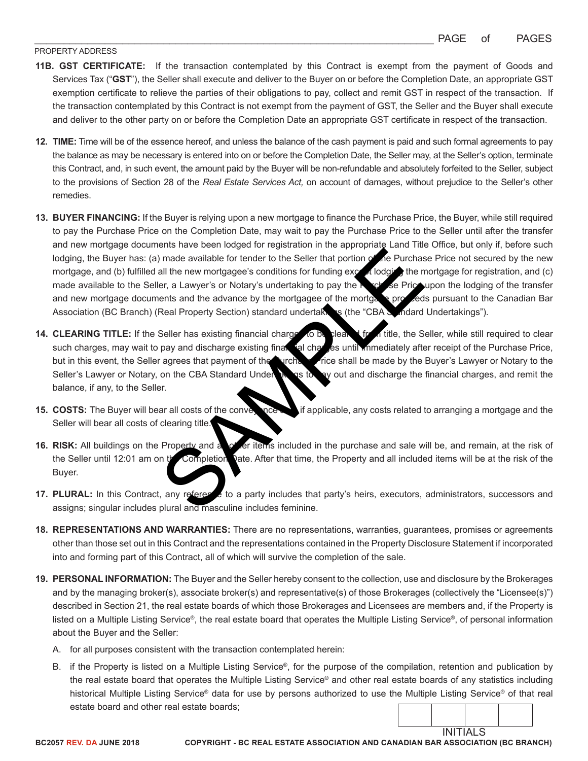### PROPERTY ADDRESS

- **11B. GST CERTIFICATE:** If the transaction contemplated by this Contract is exempt from the payment of Goods and Services Tax ("**GST**"), the Seller shall execute and deliver to the Buyer on or before the Completion Date, an appropriate GST exemption certificate to relieve the parties of their obligations to pay, collect and remit GST in respect of the transaction. If the transaction contemplated by this Contract is not exempt from the payment of GST, the Seller and the Buyer shall execute and deliver to the other party on or before the Completion Date an appropriate GST certificate in respect of the transaction.
- **12. TIME:** Time will be of the essence hereof, and unless the balance of the cash payment is paid and such formal agreements to pay the balance as may be necessary is entered into on or before the Completion Date, the Seller may, at the Seller's option, terminate this Contract, and, in such event, the amount paid by the Buyer will be non-refundable and absolutely forfeited to the Seller, subject to the provisions of Section 28 of the *Real Estate Services Act,* on account of damages, without prejudice to the Seller's other remedies.
- **13. BUYER FINANCING:** If the Buyer is relying upon a new mortgage to finance the Purchase Price, the Buyer, while still required to pay the Purchase Price on the Completion Date, may wait to pay the Purchase Price to the Seller until after the transfer and new mortgage documents have been lodged for registration in the appropriate Land Title Office, but only if, before such lodging, the Buyer has: (a) made available for tender to the Seller that portion of the Purchase Price not secured by the new mortgage, and (b) fulfilled all the new mortgagee's conditions for funding except lodging the mortgage for registration, and (c) made available to the Seller, a Lawyer's or Notary's undertaking to pay the Purchase Price upon the lodging of the transfer and new mortgage documents and the advance by the mortgagee of the mortgage proceeds pursuant to the Canadian Bar Association (BC Branch) (Real Property Section) standard undertakings (the "CBA Standard Undertakings"). Share and the content of the Seller that portion of the Purchase and the new mortgagee's conditions for funding exceller that portons.<br>
The exceller that portons for funding exceller that portons and the new mortgagee's co
- **14. CLEARING TITLE:** If the Seller has existing financial charges to be cleared from title, the Seller, while still required to clear such charges, may wait to pay and discharge existing financial charges until immediately after receipt of the Purchase Price, but in this event, the Seller agrees that payment of the Purchase Price shall be made by the Buyer's Lawyer or Notary to the Seller's Lawyer or Notary, on the CBA Standard Undertakings to pay out and discharge the financial charges, and remit the balance, if any, to the Seller.
- **15. COSTS:** The Buyer will bear all costs of the conversion and if applicable, any costs related to arranging a mortgage and the Seller will bear all costs of clearing title.
- **16. RISK:** All buildings on the Property and a **potter items included in the purchase and sale will be, and remain, at the risk of** the Seller until 12:01 am on the Completion Date. After that time, the Property and all included items will be at the risk of the Buyer.
- 17. PLURAL: In this Contract, any reference to a party includes that party's heirs, executors, administrators, successors and assigns; singular includes plural and masculine includes feminine.
- **18. REPRESENTATIONS AND WARRANTIES:** There are no representations, warranties, guarantees, promises or agreements other than those set out in this Contract and the representations contained in the Property Disclosure Statement if incorporated into and forming part of this Contract, all of which will survive the completion of the sale.
- **19. PERSONAL INFORMATION:** The Buyer and the Seller hereby consent to the collection, use and disclosure by the Brokerages and by the managing broker(s), associate broker(s) and representative(s) of those Brokerages (collectively the "Licensee(s)") described in Section 21, the real estate boards of which those Brokerages and Licensees are members and, if the Property is listed on a Multiple Listing Service®, the real estate board that operates the Multiple Listing Service®, of personal information about the Buyer and the Seller:
	- A. for all purposes consistent with the transaction contemplated herein:
	- B. if the Property is listed on a Multiple Listing Service®, for the purpose of the compilation, retention and publication by the real estate board that operates the Multiple Listing Service® and other real estate boards of any statistics including historical Multiple Listing Service<sup>®</sup> data for use by persons authorized to use the Multiple Listing Service<sup>®</sup> of that real estate board and other real estate boards;

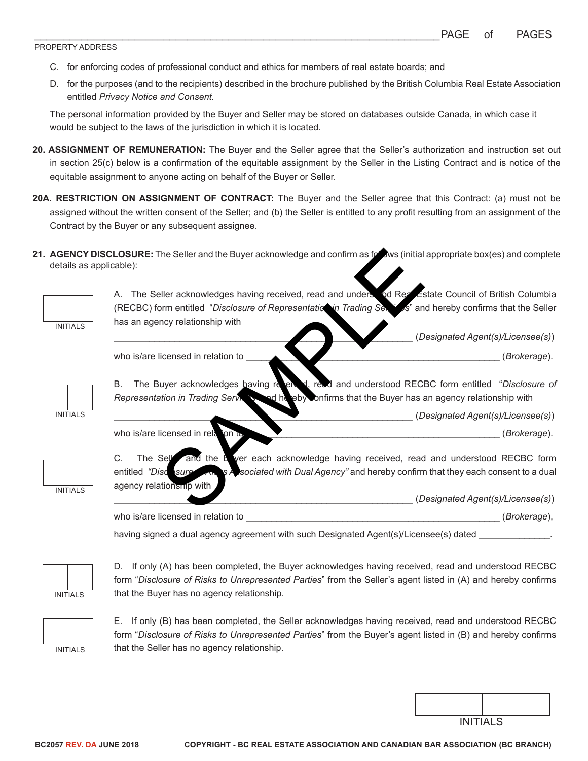### PROPERTY ADDRESS

- C. for enforcing codes of professional conduct and ethics for members of real estate boards; and
- D. for the purposes (and to the recipients) described in the brochure published by the British Columbia Real Estate Association entitled *Privacy Notice and Consent.*

The personal information provided by the Buyer and Seller may be stored on databases outside Canada, in which case it would be subject to the laws of the jurisdiction in which it is located.

- **20. ASSIGNMENT OF REMUNERATION:** The Buyer and the Seller agree that the Seller's authorization and instruction set out in section 25(c) below is a confirmation of the equitable assignment by the Seller in the Listing Contract and is notice of the equitable assignment to anyone acting on behalf of the Buyer or Seller.
- **20A. RESTRICTION ON ASSIGNMENT OF CONTRACT:** The Buyer and the Seller agree that this Contract: (a) must not be assigned without the written consent of the Seller; and (b) the Seller is entitled to any profit resulting from an assignment of the Contract by the Buyer or any subsequent assignee.
- 21. **AGENCY DISCLOSURE:** The Seller and the Buyer acknowledge and confirm as follows (initial appropriate box(es) and complete details as applicable):



A. The Seller acknowledges having received, read and understood Real Estate Council of British Columbia (RECBC) form entitled "*Disclosure of Representation in Trading Services*" and hereby confirms that the Seller has an agency relationship with

who is/are licensed in relation to **and the set of the set of the set of the set of the set of the set of the set of the set of the set of the set of the set of the set of the set of the set of the set of the set of the se** 



B. The Buyer acknowledges having received, read and understood RECBC form entitled "Disclosure of *Representation in Trading Services* and hereby confirms that the Buyer has an agency relationship with \_\_\_\_\_\_\_\_\_\_\_\_\_\_\_\_\_\_\_\_\_\_\_\_\_\_\_\_\_\_\_\_\_\_\_\_\_\_\_\_\_\_\_\_\_\_\_\_\_\_\_\_\_\_\_\_\_\_\_ (*Designated Agent(s)/Licensee(s)*)

who is/are licensed in relation to the set of the set of the set of the set of the set of the set of the set of the set of the set of the set of the set of the set of the set of the set of the set of the set of the set of



C. The Seller and the Buyer each acknowledge having received, read and understood RECBC form entitled *"Disclosure of Risks Associated with Dual Agency"* and hereby confirm that they each consent to a dual agency relationship with The Seller and the Buyer acknowledge and confirm as forws (initial<br>
eller acknowledges having received, read and understood Receiver<br>
SAMPLE THE SAMPLE TO SECOND THE SAMPLE TO THE SAMPLE TO THE SAMPLE TO THE SAMPLE TO THE

\_\_\_\_\_\_\_\_\_\_\_\_\_\_\_\_\_\_\_\_\_\_\_\_\_\_\_\_\_\_\_\_\_\_\_\_\_\_\_\_\_\_\_\_\_\_\_\_\_\_\_\_\_\_\_\_\_\_\_ (*Designated Agent(s)/Licensee(s)*)

\_\_\_\_\_\_\_\_\_\_\_\_\_\_\_\_\_\_\_\_\_\_\_\_\_\_\_\_\_\_\_\_\_\_\_\_\_\_\_\_\_\_\_\_\_\_\_\_\_\_\_\_\_\_\_\_\_\_\_ (*Designated Agent(s)/Licensee(s)*)

who is/are licensed in relation to **example 2** (*Brokerage*),

having signed a dual agency agreement with such Designated Agent(s)/Licensee(s) dated \_\_\_\_\_\_\_\_\_\_\_\_\_\_



D. If only (A) has been completed, the Buyer acknowledges having received, read and understood RECBC form "*Disclosure of Risks to Unrepresented Parties*" from the Seller's agent listed in (A) and hereby confirms that the Buyer has no agency relationship.



E. If only (B) has been completed, the Seller acknowledges having received, read and understood RECBC form "*Disclosure of Risks to Unrepresented Parties*" from the Buyer's agent listed in (B) and hereby confirms that the Seller has no agency relationship.